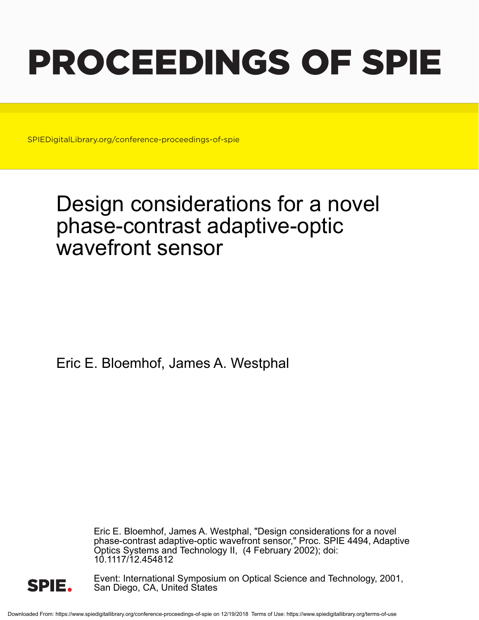# PROCEEDINGS OF SPIE

SPIEDigitalLibrary.org/conference-proceedings-of-spie

## Design considerations for a novel phase-contrast adaptive-optic wavefront sensor

Eric E. Bloemhof, James A. Westphal

Eric E. Bloemhof, James A. Westphal, "Design considerations for a novel phase-contrast adaptive-optic wavefront sensor," Proc. SPIE 4494, Adaptive Optics Systems and Technology II, (4 February 2002); doi: 10.1117/12.454812



Event: International Symposium on Optical Science and Technology, 2001, San Diego, CA, United States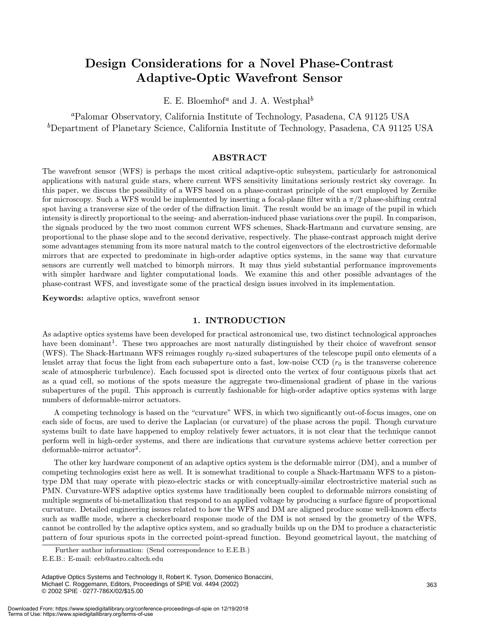### Design Considerations for a Novel Phase-Contrast Adaptive-Optic Wavefront Sensor

E. E. Bloemhof<sup>a</sup> and J. A. Westphal<sup>b</sup>

<sup>a</sup>Palomar Observatory, California Institute of Technology, Pasadena, CA 91125 USA <sup>b</sup>Department of Planetary Science, California Institute of Technology, Pasadena, CA 91125 USA

#### ABSTRACT

The wavefront sensor (WFS) is perhaps the most critical adaptive-optic subsystem, particularly for astronomical applications with natural guide stars, where current WFS sensitivity limitations seriously restrict sky coverage. In this paper, we discuss the possibility of a WFS based on a phase-contrast principle of the sort employed by Zernike for microscopy. Such a WFS would be implemented by inserting a focal-plane filter with a  $\pi/2$  phase-shifting central spot having a transverse size of the order of the diffraction limit. The result would be an image of the pupil in which intensity is directly proportional to the seeing- and aberration-induced phase variations over the pupil. In comparison, the signals produced by the two most common current WFS schemes, Shack-Hartmann and curvature sensing, are proportional to the phase slope and to the second derivative, respectively. The phase-contrast approach might derive some advantages stemming from its more natural match to the control eigenvectors of the electrostrictive deformable mirrors that are expected to predominate in high-order adaptive optics systems, in the same way that curvature sensors are currently well matched to bimorph mirrors. It may thus yield substantial performance improvements with simpler hardware and lighter computational loads. We examine this and other possible advantages of the phase-contrast WFS, and investigate some of the practical design issues involved in its implementation.

Keywords: adaptive optics, wavefront sensor

#### 1. INTRODUCTION

As adaptive optics systems have been developed for practical astronomical use, two distinct technological approaches have been dominant<sup>1</sup>. These two approaches are most naturally distinguished by their choice of wavefront sensor (WFS). The Shack-Hartmann WFS reimages roughly  $r_0$ -sized subapertures of the telescope pupil onto elements of a lenslet array that focus the light from each subaperture onto a fast, low-noise CCD  $(r_0)$  is the transverse coherence scale of atmospheric turbulence). Each focussed spot is directed onto the vertex of four contiguous pixels that act as a quad cell, so motions of the spots measure the aggregate two-dimensional gradient of phase in the various subapertures of the pupil. This approach is currently fashionable for high-order adaptive optics systems with large numbers of deformable-mirror actuators.

A competing technology is based on the "curvature" WFS, in which two significantly out-of-focus images, one on each side of focus, are used to derive the Laplacian (or curvature) of the phase across the pupil. Though curvature systems built to date have happened to employ relatively fewer actuators, it is not clear that the technique cannot perform well in high-order systems, and there are indications that curvature systems achieve better correction per deformable-mirror actuator2.

The other key hardware component of an adaptive optics system is the deformable mirror (DM), and a number of competing technologies exist here as well. It is somewhat traditional to couple a Shack-Hartmann WFS to a pistontype DM that may operate with piezo-electric stacks or with conceptually-similar electrostrictive material such as PMN. Curvature-WFS adaptive optics systems have traditionally been coupled to deformable mirrors consisting of multiple segments of bi-metallization that respond to an applied voltage by producing a surface figure of proportional curvature. Detailed engineering issues related to how the WFS and DM are aligned produce some well-known effects such as waffle mode, where a checkerboard response mode of the DM is not sensed by the geometry of the WFS, cannot be controlled by the adaptive optics system, and so gradually builds up on the DM to produce a characteristic pattern of four spurious spots in the corrected point-spread function. Beyond geometrical layout, the matching of

Further author information: (Send correspondence to E.E.B.)

E.E.B.: E-mail: eeb@astro.caltech.edu

Adaptive Optics Systems and Technology II, Robert K. Tyson, Domenico Bonaccini, Michael C. Roggemann, Editors, Proceedings of SPIE Vol. 4494 (2002) © 2002 SPIE · 0277-786X/02/\$15.00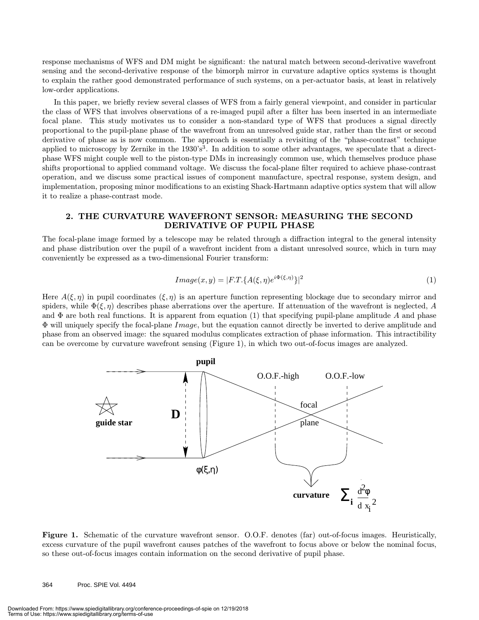response mechanisms of WFS and DM might be significant: the natural match between second-derivative wavefront sensing and the second-derivative response of the bimorph mirror in curvature adaptive optics systems is thought to explain the rather good demonstrated performance of such systems, on a per-actuator basis, at least in relatively low-order applications.

In this paper, we briefly review several classes of WFS from a fairly general viewpoint, and consider in particular the class of WFS that involves observations of a re-imaged pupil after a filter has been inserted in an intermediate focal plane. This study motivates us to consider a non-standard type of WFS that produces a signal directly proportional to the pupil-plane phase of the wavefront from an unresolved guide star, rather than the first or second derivative of phase as is now common. The approach is essentially a revisiting of the "phase-contrast" technique applied to microscopy by Zernike in the  $1930's<sup>3</sup>$ . In addition to some other advantages, we speculate that a directphase WFS might couple well to the piston-type DMs in increasingly common use, which themselves produce phase shifts proportional to applied command voltage. We discuss the focal-plane filter required to achieve phase-contrast operation, and we discuss some practical issues of component manufacture, spectral response, system design, and implementation, proposing minor modifications to an existing Shack-Hartmann adaptive optics system that will allow it to realize a phase-contrast mode.

#### 2. THE CURVATURE WAVEFRONT SENSOR: MEASURING THE SECOND DERIVATIVE OF PUPIL PHASE

The focal-plane image formed by a telescope may be related through a diffraction integral to the general intensity and phase distribution over the pupil of a wavefront incident from a distant unresolved source, which in turn may conveniently be expressed as a two-dimensional Fourier transform:

$$
Image(x, y) = |F \cdot T \cdot \{A(\xi, \eta) e^{i\Phi(\xi, \eta)}\}|^2 \tag{1}
$$

Here  $A(\xi,\eta)$  in pupil coordinates  $(\xi,\eta)$  is an aperture function representing blockage due to secondary mirror and spiders, while  $\Phi(\xi,\eta)$  describes phase aberrations over the aperture. If attenuation of the wavefront is neglected, A and  $\Phi$  are both real functions. It is apparent from equation (1) that specifying pupil-plane amplitude A and phase Φ will uniquely specify the focal-plane Image, but the equation cannot directly be inverted to derive amplitude and phase from an observed image: the squared modulus complicates extraction of phase information. This intractibility can be overcome by curvature wavefront sensing (Figure 1), in which two out-of-focus images are analyzed.



Figure 1. Schematic of the curvature wavefront sensor. O.O.F. denotes (far) out-of-focus images. Heuristically, excess curvature of the pupil wavefront causes patches of the wavefront to focus above or below the nominal focus, so these out-of-focus images contain information on the second derivative of pupil phase.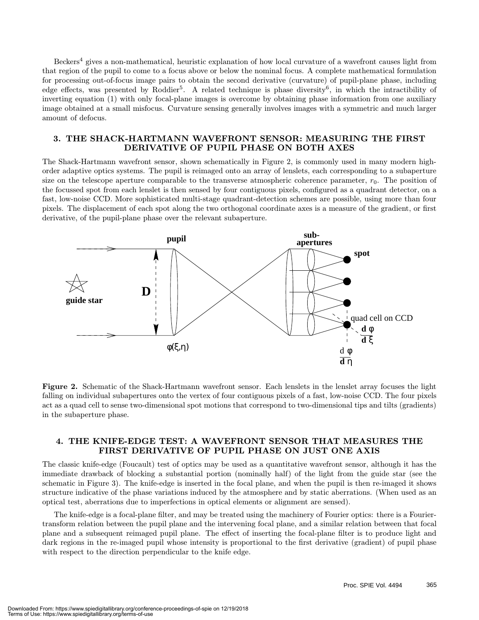Beckers<sup>4</sup> gives a non-mathematical, heuristic explanation of how local curvature of a wavefront causes light from that region of the pupil to come to a focus above or below the nominal focus. A complete mathematical formulation for processing out-of-focus image pairs to obtain the second derivative (curvature) of pupil-plane phase, including edge effects, was presented by Roddier<sup>5</sup>. A related technique is phase diversity<sup>6</sup>, in which the intractibility of inverting equation (1) with only focal-plane images is overcome by obtaining phase information from one auxiliary image obtained at a small misfocus. Curvature sensing generally involves images with a symmetric and much larger amount of defocus.

#### 3. THE SHACK-HARTMANN WAVEFRONT SENSOR: MEASURING THE FIRST DERIVATIVE OF PUPIL PHASE ON BOTH AXES

The Shack-Hartmann wavefront sensor, shown schematically in Figure 2, is commonly used in many modern highorder adaptive optics systems. The pupil is reimaged onto an array of lenslets, each corresponding to a subaperture size on the telescope aperture comparable to the transverse atmospheric coherence parameter,  $r_0$ . The position of the focussed spot from each lenslet is then sensed by four contiguous pixels, configured as a quadrant detector, on a fast, low-noise CCD. More sophisticated multi-stage quadrant-detection schemes are possible, using more than four pixels. The displacement of each spot along the two orthogonal coordinate axes is a measure of the gradient, or first derivative, of the pupil-plane phase over the relevant subaperture.



Figure 2. Schematic of the Shack-Hartmann wavefront sensor. Each lenslets in the lenslet array focuses the light falling on individual subapertures onto the vertex of four contiguous pixels of a fast, low-noise CCD. The four pixels act as a quad cell to sense two-dimensional spot motions that correspond to two-dimensional tips and tilts (gradients) in the subaperture phase.

#### 4. THE KNIFE-EDGE TEST: A WAVEFRONT SENSOR THAT MEASURES THE FIRST DERIVATIVE OF PUPILPHASE ON JUST ONE AXIS

The classic knife-edge (Foucault) test of optics may be used as a quantitative wavefront sensor, although it has the immediate drawback of blocking a substantial portion (nominally half) of the light from the guide star (see the schematic in Figure 3). The knife-edge is inserted in the focal plane, and when the pupil is then re-imaged it shows structure indicative of the phase variations induced by the atmosphere and by static aberrations. (When used as an optical test, aberrations due to imperfections in optical elements or alignment are sensed).

The knife-edge is a focal-plane filter, and may be treated using the machinery of Fourier optics: there is a Fouriertransform relation between the pupil plane and the intervening focal plane, and a similar relation between that focal plane and a subsequent reimaged pupil plane. The effect of inserting the focal-plane filter is to produce light and dark regions in the re-imaged pupil whose intensity is proportional to the first derivative (gradient) of pupil phase with respect to the direction perpendicular to the knife edge.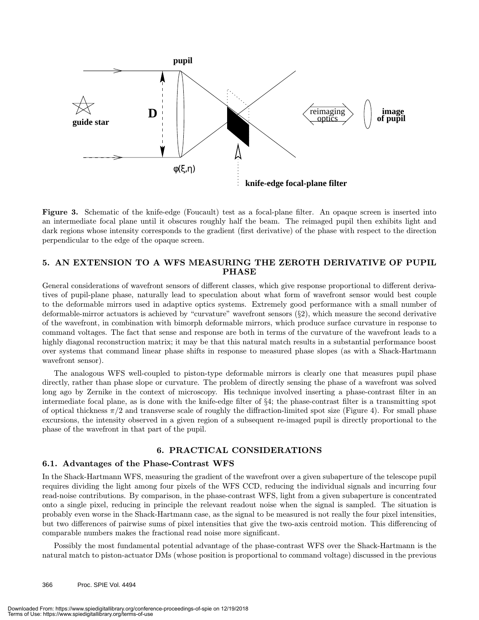

Figure 3. Schematic of the knife-edge (Foucault) test as a focal-plane filter. An opaque screen is inserted into an intermediate focal plane until it obscures roughly half the beam. The reimaged pupil then exhibits light and dark regions whose intensity corresponds to the gradient (first derivative) of the phase with respect to the direction perpendicular to the edge of the opaque screen.

#### 5. AN EXTENSION TO A WFS MEASURING THE ZEROTH DERIVATIVE OF PUPIL PHASE

General considerations of wavefront sensors of different classes, which give response proportional to different derivatives of pupil-plane phase, naturally lead to speculation about what form of wavefront sensor would best couple to the deformable mirrors used in adaptive optics systems. Extremely good performance with a small number of deformable-mirror actuators is achieved by "curvature" wavefront sensors (§2), which measure the second derivative of the wavefront, in combination with bimorph deformable mirrors, which produce surface curvature in response to command voltages. The fact that sense and response are both in terms of the curvature of the wavefront leads to a highly diagonal reconstruction matrix; it may be that this natural match results in a substantial performance boost over systems that command linear phase shifts in response to measured phase slopes (as with a Shack-Hartmann wavefront sensor).

The analogous WFS well-coupled to piston-type deformable mirrors is clearly one that measures pupil phase directly, rather than phase slope or curvature. The problem of directly sensing the phase of a wavefront was solved long ago by Zernike in the context of microscopy. His technique involved inserting a phase-contrast filter in an intermediate focal plane, as is done with the knife-edge filter of §4; the phase-contrast filter is a transmitting spot of optical thickness  $\pi/2$  and transverse scale of roughly the diffraction-limited spot size (Figure 4). For small phase excursions, the intensity observed in a given region of a subsequent re-imaged pupil is directly proportional to the phase of the wavefront in that part of the pupil.

#### 6. PRACTICAL CONSIDERATIONS

#### 6.1. Advantages of the Phase-Contrast WFS

In the Shack-Hartmann WFS, measuring the gradient of the wavefront over a given subaperture of the telescope pupil requires dividing the light among four pixels of the WFS CCD, reducing the individual signals and incurring four read-noise contributions. By comparison, in the phase-contrast WFS, light from a given subaperture is concentrated onto a single pixel, reducing in principle the relevant readout noise when the signal is sampled. The situation is probably even worse in the Shack-Hartmann case, as the signal to be measured is not really the four pixel intensities, but two differences of pairwise sums of pixel intensities that give the two-axis centroid motion. This differencing of comparable numbers makes the fractional read noise more significant.

Possibly the most fundamental potential advantage of the phase-contrast WFS over the Shack-Hartmann is the natural match to piston-actuator DMs (whose position is proportional to command voltage) discussed in the previous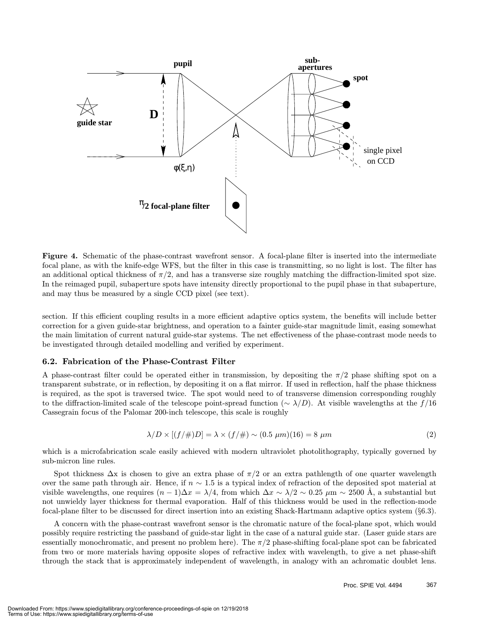

Figure 4. Schematic of the phase-contrast wavefront sensor. A focal-plane filter is inserted into the intermediate focal plane, as with the knife-edge WFS, but the filter in this case is transmitting, so no light is lost. The filter has an additional optical thickness of  $\pi/2$ , and has a transverse size roughly matching the diffraction-limited spot size. In the reimaged pupil, subaperture spots have intensity directly proportional to the pupil phase in that subaperture, and may thus be measured by a single CCD pixel (see text).

section. If this efficient coupling results in a more efficient adaptive optics system, the benefits will include better correction for a given guide-star brightness, and operation to a fainter guide-star magnitude limit, easing somewhat the main limitation of current natural guide-star systems. The net effectiveness of the phase-contrast mode needs to be investigated through detailed modelling and verified by experiment.

#### 6.2. Fabrication of the Phase-Contrast Filter

A phase-contrast filter could be operated either in transmission, by depositing the  $\pi/2$  phase shifting spot on a transparent substrate, or in reflection, by depositing it on a flat mirror. If used in reflection, half the phase thickness is required, as the spot is traversed twice. The spot would need to of transverse dimension corresponding roughly to the diffraction-limited scale of the telescope point-spread function ( $\sim \lambda/D$ ). At visible wavelengths at the f/16 Cassegrain focus of the Palomar 200-inch telescope, this scale is roughly

$$
\lambda/D \times [(f/\#)D] = \lambda \times (f/\#) \sim (0.5 \ \mu m)(16) = 8 \ \mu m \tag{2}
$$

which is a microfabrication scale easily achieved with modern ultraviolet photolithography, typically governed by sub-micron line rules.

Spot thickness  $\Delta x$  is chosen to give an extra phase of  $\pi/2$  or an extra pathlength of one quarter wavelength over the same path through air. Hence, if  $n \sim 1.5$  is a typical index of refraction of the deposited spot material at visible wavelengths, one requires  $(n-1)\Delta x = \lambda/4$ , from which  $\Delta x \sim \lambda/2 \sim 0.25 \mu m \sim 2500$  Å, a substantial but not unwieldy layer thickness for thermal evaporation. Half of this thickness would be used in the reflection-mode focal-plane filter to be discussed for direct insertion into an existing Shack-Hartmann adaptive optics system (§6.3).

A concern with the phase-contrast wavefront sensor is the chromatic nature of the focal-plane spot, which would possibly require restricting the passband of guide-star light in the case of a natural guide star. (Laser guide stars are essentially monochromatic, and present no problem here). The  $\pi/2$  phase-shifting focal-plane spot can be fabricated from two or more materials having opposite slopes of refractive index with wavelength, to give a net phase-shift through the stack that is approximately independent of wavelength, in analogy with an achromatic doublet lens.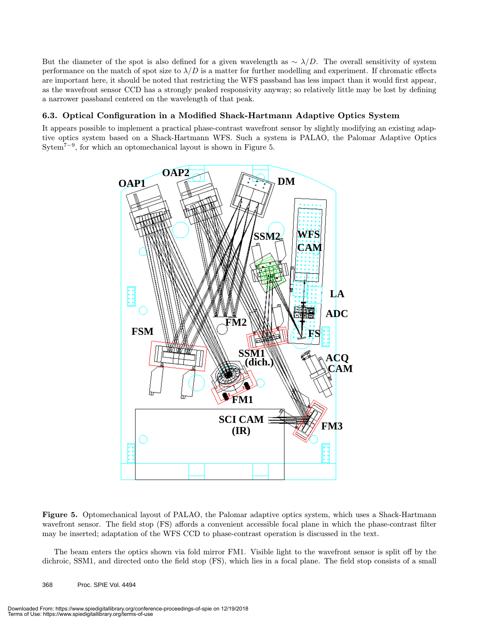But the diameter of the spot is also defined for a given wavelength as  $\sim \lambda/D$ . The overall sensitivity of system performance on the match of spot size to  $\lambda/D$  is a matter for further modelling and experiment. If chromatic effects are important here, it should be noted that restricting the WFS passband has less impact than it would first appear, as the wavefront sensor CCD has a strongly peaked responsivity anyway; so relatively little may be lost by defining a narrower passband centered on the wavelength of that peak.

#### 6.3. Optical Configuration in a Modified Shack-Hartmann Adaptive Optics System

It appears possible to implement a practical phase-contrast wavefront sensor by slightly modifying an existing adaptive optics system based on a Shack-Hartmann WFS. Such a system is PALAO, the Palomar Adaptive Optics Sytem<sup>7−9</sup>, for which an optomechanical layout is shown in Figure 5.



Figure 5. Optomechanical layout of PALAO, the Palomar adaptive optics system, which uses a Shack-Hartmann wavefront sensor. The field stop (FS) affords a convenient accessible focal plane in which the phase-contrast filter may be inserted; adaptation of the WFS CCD to phase-contrast operation is discussed in the text.

The beam enters the optics shown via fold mirror FM1. Visible light to the wavefront sensor is split off by the dichroic, SSM1, and directed onto the field stop (FS), which lies in a focal plane. The field stop consists of a small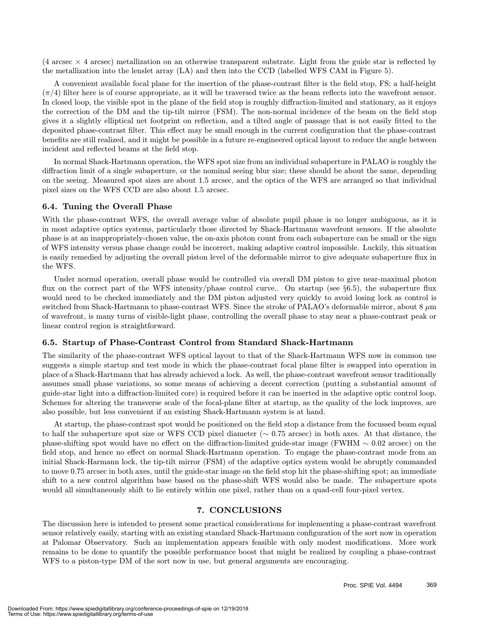$(4 \text{ arcsec} \times 4 \text{ arcsec})$  metallization on an otherwise transparent substrate. Light from the guide star is reflected by the metallization into the lenslet array (LA) and then into the CCD (labelled WFS CAM in Figure 5).

A convenient available focal plane for the insertion of the phase-contrast filter is the field stop, FS; a half-height  $(\pi/4)$  filter here is of course appropriate, as it will be traversed twice as the beam reflects into the wavefront sensor. In closed loop, the visible spot in the plane of the field stop is roughly diffraction-limited and stationary, as it enjoys the correction of the DM and the tip-tilt mirror (FSM). The non-normal incidence of the beam on the field stop gives it a slightly elliptical net footprint on reflection, and a tilted angle of passage that is not easily fitted to the deposited phase-contrast filter. This effect may be small enough in the current configuration that the phase-contrast benefits are still realized, and it might be possible in a future re-engineered optical layout to reduce the angle between incident and reflected beams at the field stop.

In normal Shack-Hartmann operation, the WFS spot size from an individual subaperture in PALAO is roughly the diffraction limit of a single subaperture, or the nominal seeing blur size; these should be about the same, depending on the seeing. Measured spot sizes are about 1.5 arcsec, and the optics of the WFS are arranged so that individual pixel sizes on the WFS CCD are also about 1.5 arcsec.

#### 6.4. Tuning the Overall Phase

With the phase-contrast WFS, the overall average value of absolute pupil phase is no longer ambiguous, as it is in most adaptive optics systems, particularly those directed by Shack-Hartmann wavefront sensors. If the absolute phase is at an inappropriately-chosen value, the on-axis photon count from each subaperture can be small or the sign of WFS intensity versus phase change could be incorrect, making adaptive control impossible. Luckily, this situation is easily remedied by adjusting the overall piston level of the deformable mirror to give adequate subaperture flux in the WFS.

Under normal operation, overall phase would be controlled via overall DM piston to give near-maximal photon flux on the correct part of the WFS intensity/phase control curve.. On startup (see §6.5), the subaperture flux would need to be checked immediately and the DM piston adjusted very quickly to avoid losing lock as control is switched from Shack-Hartmann to phase-contrast WFS. Since the stroke of PALAO's deformable mirror, about 8  $\mu$ m of wavefront, is many turns of visible-light phase, controlling the overall phase to stay near a phase-contrast peak or linear control region is straightforward.

#### 6.5. Startup of Phase-Contrast Control from Standard Shack-Hartmann

The similarity of the phase-contrast WFS optical layout to that of the Shack-Hartmann WFS now in common use suggests a simple startup and test mode in which the phase-contrast focal plane filter is swapped into operation in place of a Shack-Hartmann that has already achieved a lock. As well, the phase-contrast wavefront sensor traditionally assumes small phase variations, so some means of achieving a decent correction (putting a substantial amount of guide-star light into a diffraction-limited core) is required before it can be inserted in the adaptive optic control loop. Schemes for altering the transverse scale of the focal-plane filter at startup, as the quality of the lock improves, are also possible, but less convenient if an existing Shack-Hartmann system is at hand.

At startup, the phase-contrast spot would be positioned on the field stop a distance from the focussed beam equal to half the subaperture spot size or WFS CCD pixel diameter (∼ 0.75 arcsec) in both axes. At that distance, the phase-shifting spot would have no effect on the diffraction-limited guide-star image (FWHM ∼ 0.02 arcsec) on the field stop, and hence no effect on normal Shack-Hartmann operation. To engage the phase-contrast mode from an initial Shack-Harmann lock, the tip-tilt mirror (FSM) of the adaptive optics system would be abruptly commanded to move 0.75 arcsec in both axes, until the guide-star image on the field stop hit the phase-shifting spot; an immediate shift to a new control algorithm base based on the phase-shift WFS would also be made. The subaperture spots would all simultaneously shift to lie entirely within one pixel, rather than on a quad-cell four-pixel vertex.

#### 7. CONCLUSIONS

The discussion here is intended to present some practical considerations for implementing a phase-contrast wavefront sensor relatively easily, starting with an existing standard Shack-Hartmann configuration of the sort now in operation at Palomar Observatory. Such an implementation appears feasible with only modest modifications. More work remains to be done to quantify the possible performance boost that might be realized by coupling a phase-contrast WFS to a piston-type DM of the sort now in use, but general arguments are encouraging.